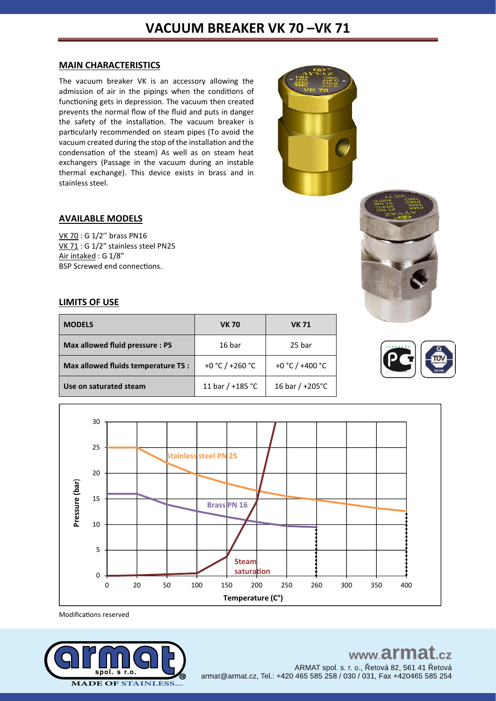### **MAIN CHARACTERISTICS**

The vacuum breaker VK is an accessory allowing the admission of air in the pipings when the conditions of functioning gets in depression. The vacuum then created prevents the normal flow of the fluid and puts in danger the safety of the installation. The vacuum breaker is particularly recommended on steam pipes (To avoid the vacuum created during the stop of the installation and the condensation of the steam) As well as on steam heat exchangers (Passage in the vacuum during an instable thermal exchange). This device exists in brass and in stainless steel.



### **AVAILABLE MODELS**

VK 70 : G 1/2'' brass PN16 VK 71 : G 1/2" stainless steel PN25 Air intaked: G 1/8" BSP Screwed end connections.

### **LIMITS OF USE**

| <b>MODELS</b>                       | <b>VK 70</b>       | <b>VK 71</b>              |
|-------------------------------------|--------------------|---------------------------|
| Max allowed fluid pressure : PS     | 16 bar             | 25 bar                    |
| Max allowed fluids temperature TS : | +0 °C / +260 °C    | +0 °C / +400 °C           |
| Use on saturated steam              | 11 bar / $+185$ °C | 16 bar / $+205^{\circ}$ C |





Modifications reserved



#### www.armat  $c\overline{z}$ ARMAT spol. s. r. o., Řetová 82, 561 41 Řetová

armat@armat.cz, Tel.: +420 465 585 258 / 030 / 031, Fax +420465 585 254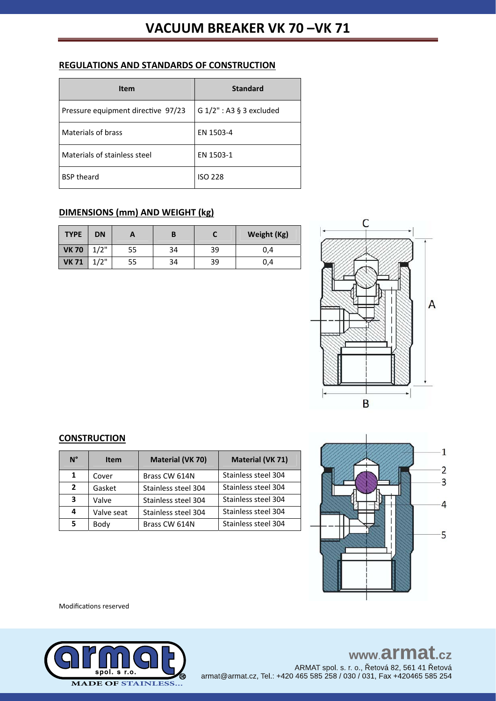## **REGULATIONS AND STANDARDS OF CONSTRUCTION**

| Item                               | <b>Standard</b>            |
|------------------------------------|----------------------------|
| Pressure equipment directive 97/23 | G $1/2$ ": A3 § 3 excluded |
| Materials of brass                 | EN 1503-4                  |
| Materials of stainless steel       | EN 1503-1                  |
| <b>BSP theard</b>                  | ISO 228                    |

# **DIMENSIONS (mm) AND WEIGHT (kg)**

| <b>TYPE</b>  | <b>DN</b> |    |    |    | Weight (Kg) |
|--------------|-----------|----|----|----|-------------|
| <b>VK70</b>  | 1/2"      | 55 | 34 | 39 | 0.4         |
| <b>VK 71</b> | 1/2"      | 55 | 34 | 39 | 0,4         |



### **CONSTRUCTION**

| $N^{\circ}$  | <b>Item</b> | <b>Material (VK 70)</b> | <b>Material (VK 71)</b> |
|--------------|-------------|-------------------------|-------------------------|
| 1            | Cover       | Brass CW 614N           | Stainless steel 304     |
| $\mathbf{2}$ | Gasket      | Stainless steel 304     | Stainless steel 304     |
| 3            | Valve       | Stainless steel 304     | Stainless steel 304     |
| 4            | Valve seat  | Stainless steel 304     | Stainless steel 304     |
| 5            | Body        | Brass CW 614N           | Stainless steel 304     |



Modifications reserved



# www.armat.cz ARMAT spol. s. r. o., Řetová 82, 561 41 Řetová

armat@armat.cz, Tel.: +420 465 585 258 / 030 / 031, Fax +420465 585 254